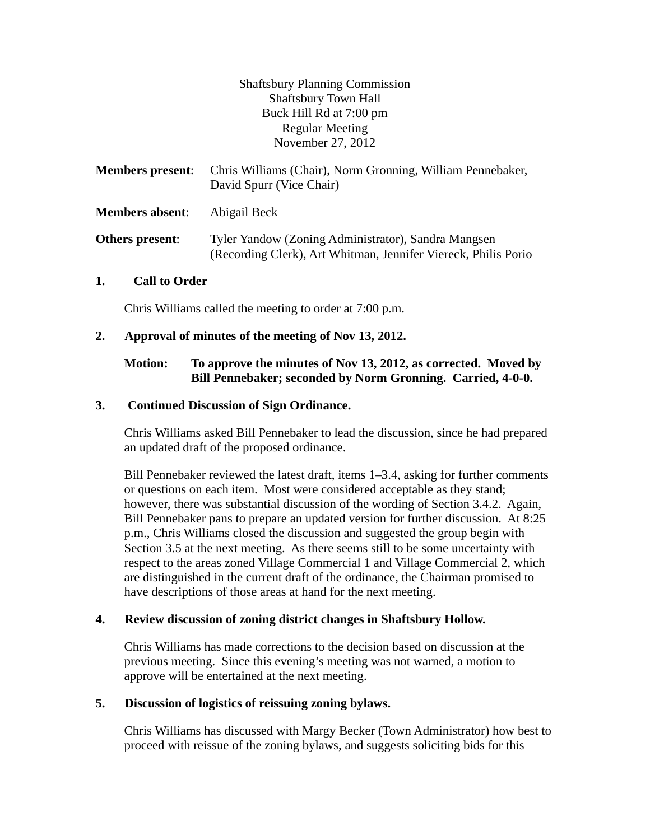Shaftsbury Planning Commission Shaftsbury Town Hall Buck Hill Rd at 7:00 pm Regular Meeting November 27, 2012

| <b>Members present:</b> | Chris Williams (Chair), Norm Gronning, William Pennebaker,<br>David Spurr (Vice Chair)                                |
|-------------------------|-----------------------------------------------------------------------------------------------------------------------|
| <b>Members absent:</b>  | Abigail Beck                                                                                                          |
| Others present:         | Tyler Yandow (Zoning Administrator), Sandra Mangsen<br>(Recording Clerk), Art Whitman, Jennifer Viereck, Philis Porio |

### **1. Call to Order**

Chris Williams called the meeting to order at 7:00 p.m.

### **2. Approval of minutes of the meeting of Nov 13, 2012.**

## **Motion: To approve the minutes of Nov 13, 2012, as corrected. Moved by Bill Pennebaker; seconded by Norm Gronning. Carried, 4-0-0.**

### **3. Continued Discussion of Sign Ordinance.**

Chris Williams asked Bill Pennebaker to lead the discussion, since he had prepared an updated draft of the proposed ordinance.

Bill Pennebaker reviewed the latest draft, items 1–3.4, asking for further comments or questions on each item. Most were considered acceptable as they stand; however, there was substantial discussion of the wording of Section 3.4.2. Again, Bill Pennebaker pans to prepare an updated version for further discussion. At 8:25 p.m., Chris Williams closed the discussion and suggested the group begin with Section 3.5 at the next meeting. As there seems still to be some uncertainty with respect to the areas zoned Village Commercial 1 and Village Commercial 2, which are distinguished in the current draft of the ordinance, the Chairman promised to have descriptions of those areas at hand for the next meeting.

## **4. Review discussion of zoning district changes in Shaftsbury Hollow.**

Chris Williams has made corrections to the decision based on discussion at the previous meeting. Since this evening's meeting was not warned, a motion to approve will be entertained at the next meeting.

#### **5. Discussion of logistics of reissuing zoning bylaws.**

Chris Williams has discussed with Margy Becker (Town Administrator) how best to proceed with reissue of the zoning bylaws, and suggests soliciting bids for this